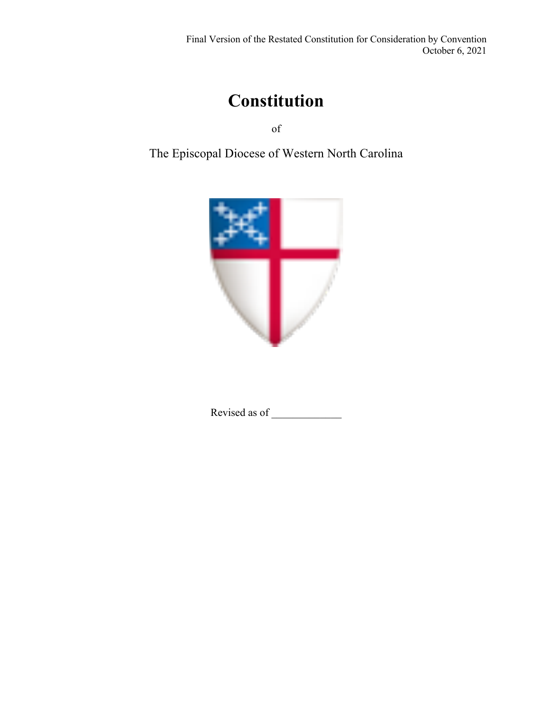# **Constitution**

of

The Episcopal Diocese of Western North Carolina



Revised as of \_\_\_\_\_\_\_\_\_\_\_\_\_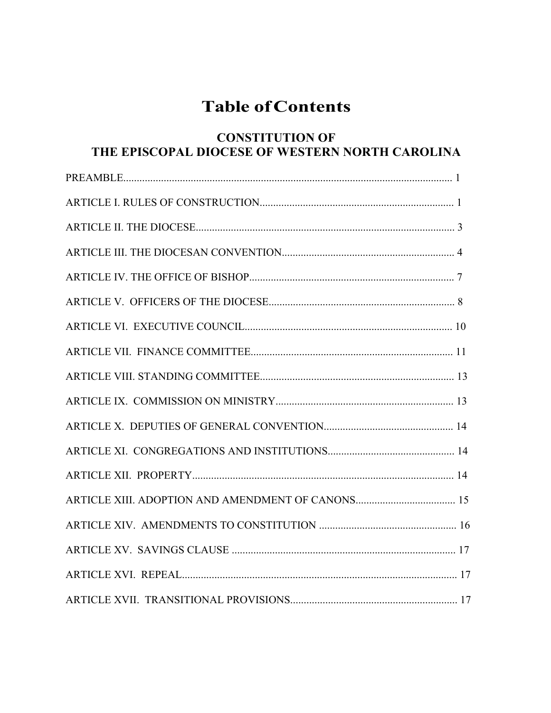## **Table ofContents**

## **CONSTITUTION OF THE EPISCOPAL DIOCESE OF WESTERN NORTH CAROLINA**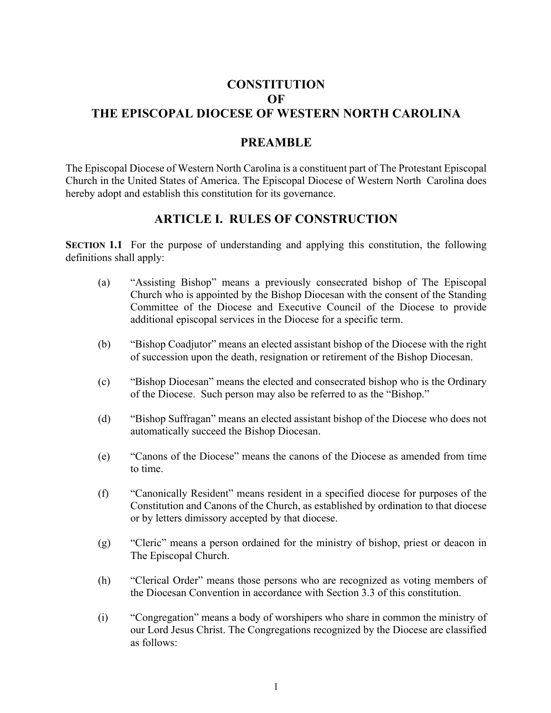## **CONSTITUTION OF THE EPISCOPAL DIOCESE OF WESTERN NORTH CAROLINA**

#### **PREAMBLE**

The Episcopal Diocese of Western North Carolina is a constituent part of The Protestant Episcopal Church in the United States of America. The Episcopal Diocese of Western North Carolina does hereby adopt and establish this constitution for its governance.

### **ARTICLE I. RULES OF CONSTRUCTION**

**SECTION 1.1** For the purpose of understanding and applying this constitution, the following definitions shall apply:

- (a) "Assisting Bishop" means a previously consecrated bishop of The Episcopal Church who is appointed by the Bishop Diocesan with the consent of the Standing Committee of the Diocese and Executive Council of the Diocese to provide additional episcopal services in the Diocese for a specific term.
- (b) "Bishop Coadjutor" means an elected assistant bishop of the Diocese with the right of succession upon the death, resignation or retirement of the Bishop Diocesan.
- (c) "Bishop Diocesan" means the elected and consecrated bishop who is the Ordinary of the Diocese. Such person may also be referred to as the "Bishop."
- (d) "Bishop Suffragan" means an elected assistant bishop of the Diocese who does not automatically succeed the Bishop Diocesan.
- (e) "Canons of the Diocese" means the canons of the Diocese as amended from time to time.
- (f) "Canonically Resident" means resident in a specified diocese for purposes of the Constitution and Canons of the Church, as established by ordination to that diocese or by letters dimissory accepted by that diocese.
- (g) "Cleric" means a person ordained for the ministry of bishop, priest or deacon in The Episcopal Church.
- (h) "Clerical Order" means those persons who are recognized as voting members of the Diocesan Convention in accordance with Section 3.3 of this constitution.
- (i) "Congregation" means a body of worshipers who share in common the ministry of our Lord Jesus Christ. The Congregations recognized by the Diocese are classified as follows: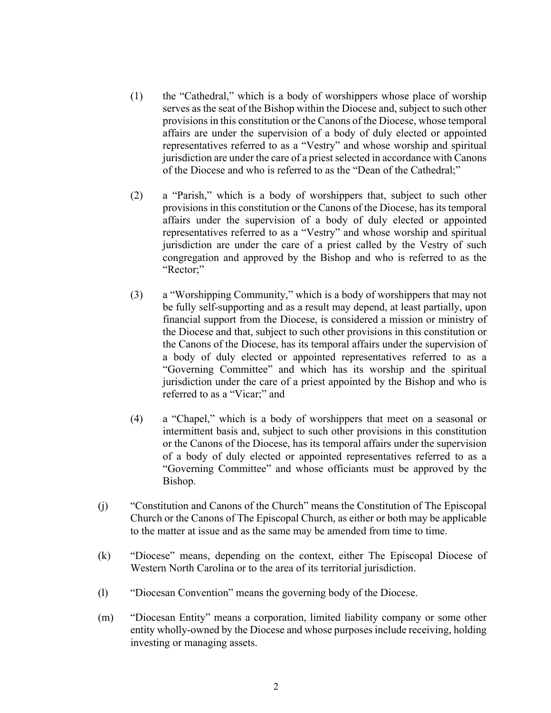- (1) the "Cathedral," which is a body of worshippers whose place of worship serves as the seat of the Bishop within the Diocese and, subject to such other provisions in this constitution or the Canons of the Diocese, whose temporal affairs are under the supervision of a body of duly elected or appointed representatives referred to as a "Vestry" and whose worship and spiritual jurisdiction are under the care of a priest selected in accordance with Canons of the Diocese and who is referred to as the "Dean of the Cathedral;"
- (2) a "Parish," which is a body of worshippers that, subject to such other provisions in this constitution or the Canons of the Diocese, has its temporal affairs under the supervision of a body of duly elected or appointed representatives referred to as a "Vestry" and whose worship and spiritual jurisdiction are under the care of a priest called by the Vestry of such congregation and approved by the Bishop and who is referred to as the "Rector;"
- (3) a "Worshipping Community," which is a body of worshippers that may not be fully self-supporting and as a result may depend, at least partially, upon financial support from the Diocese, is considered a mission or ministry of the Diocese and that, subject to such other provisions in this constitution or the Canons of the Diocese, has its temporal affairs under the supervision of a body of duly elected or appointed representatives referred to as a "Governing Committee" and which has its worship and the spiritual jurisdiction under the care of a priest appointed by the Bishop and who is referred to as a "Vicar;" and
- (4) a "Chapel," which is a body of worshippers that meet on a seasonal or intermittent basis and, subject to such other provisions in this constitution or the Canons of the Diocese, has its temporal affairs under the supervision of a body of duly elected or appointed representatives referred to as a "Governing Committee" and whose officiants must be approved by the Bishop.
- (j) "Constitution and Canons of the Church" means the Constitution of The Episcopal Church or the Canons of The Episcopal Church, as either or both may be applicable to the matter at issue and as the same may be amended from time to time.
- (k) "Diocese" means, depending on the context, either The Episcopal Diocese of Western North Carolina or to the area of its territorial jurisdiction.
- (l) "Diocesan Convention" means the governing body of the Diocese.
- (m) "Diocesan Entity" means a corporation, limited liability company or some other entity wholly-owned by the Diocese and whose purposes include receiving, holding investing or managing assets.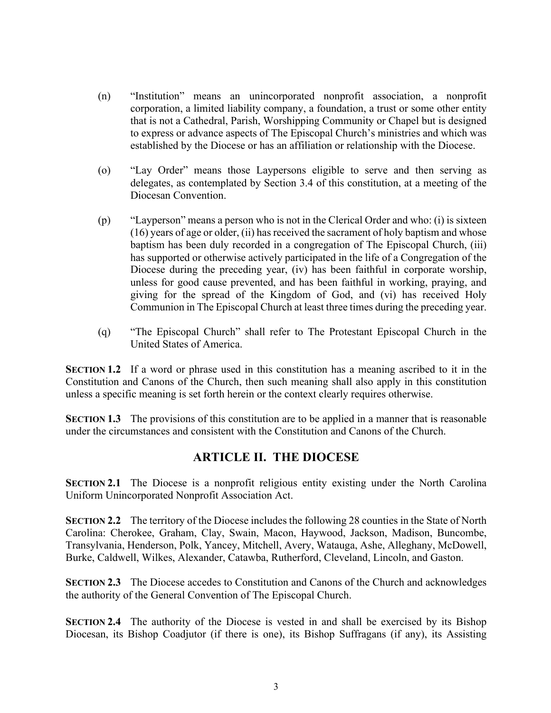- (n) "Institution" means an unincorporated nonprofit association, a nonprofit corporation, a limited liability company, a foundation, a trust or some other entity that is not a Cathedral, Parish, Worshipping Community or Chapel but is designed to express or advance aspects of The Episcopal Church's ministries and which was established by the Diocese or has an affiliation or relationship with the Diocese.
- (o) "Lay Order" means those Laypersons eligible to serve and then serving as delegates, as contemplated by Section 3.4 of this constitution, at a meeting of the Diocesan Convention.
- (p) "Layperson" means a person who is not in the Clerical Order and who: (i) is sixteen (16) years of age or older, (ii) has received the sacrament of holy baptism and whose baptism has been duly recorded in a congregation of The Episcopal Church, (iii) has supported or otherwise actively participated in the life of a Congregation of the Diocese during the preceding year, (iv) has been faithful in corporate worship, unless for good cause prevented, and has been faithful in working, praying, and giving for the spread of the Kingdom of God, and (vi) has received Holy Communion in The Episcopal Church at least three times during the preceding year.
- (q) "The Episcopal Church" shall refer to The Protestant Episcopal Church in the United States of America.

**SECTION 1.2** If a word or phrase used in this constitution has a meaning ascribed to it in the Constitution and Canons of the Church, then such meaning shall also apply in this constitution unless a specific meaning is set forth herein or the context clearly requires otherwise.

**SECTION 1.3** The provisions of this constitution are to be applied in a manner that is reasonable under the circumstances and consistent with the Constitution and Canons of the Church.

## **ARTICLE II. THE DIOCESE**

**SECTION 2.1** The Diocese is a nonprofit religious entity existing under the North Carolina Uniform Unincorporated Nonprofit Association Act.

**SECTION 2.2** The territory of the Diocese includes the following 28 counties in the State of North Carolina: Cherokee, Graham, Clay, Swain, Macon, Haywood, Jackson, Madison, Buncombe, Transylvania, Henderson, Polk, Yancey, Mitchell, Avery, Watauga, Ashe, Alleghany, McDowell, Burke, Caldwell, Wilkes, Alexander, Catawba, Rutherford, Cleveland, Lincoln, and Gaston.

**SECTION 2.3** The Diocese accedes to Constitution and Canons of the Church and acknowledges the authority of the General Convention of The Episcopal Church.

**SECTION 2.4** The authority of the Diocese is vested in and shall be exercised by its Bishop Diocesan, its Bishop Coadjutor (if there is one), its Bishop Suffragans (if any), its Assisting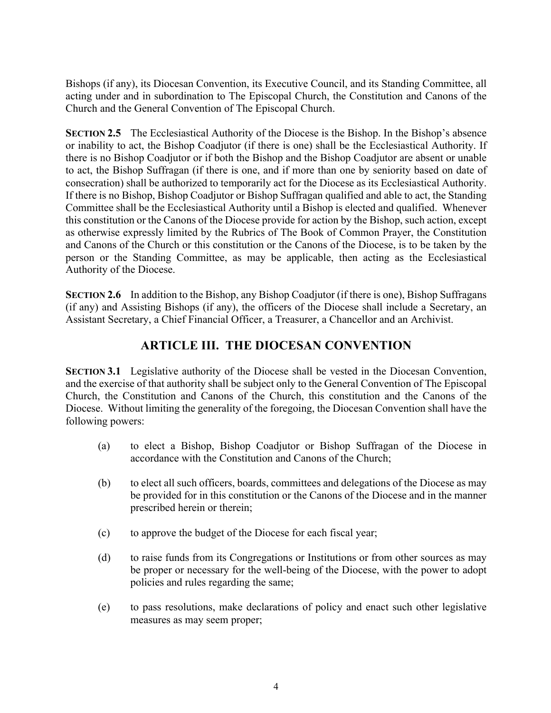Bishops (if any), its Diocesan Convention, its Executive Council, and its Standing Committee, all acting under and in subordination to The Episcopal Church, the Constitution and Canons of the Church and the General Convention of The Episcopal Church.

**SECTION 2.5** The Ecclesiastical Authority of the Diocese is the Bishop. In the Bishop's absence or inability to act, the Bishop Coadjutor (if there is one) shall be the Ecclesiastical Authority. If there is no Bishop Coadjutor or if both the Bishop and the Bishop Coadjutor are absent or unable to act, the Bishop Suffragan (if there is one, and if more than one by seniority based on date of consecration) shall be authorized to temporarily act for the Diocese as its Ecclesiastical Authority. If there is no Bishop, Bishop Coadjutor or Bishop Suffragan qualified and able to act, the Standing Committee shall be the Ecclesiastical Authority until a Bishop is elected and qualified. Whenever this constitution or the Canons of the Diocese provide for action by the Bishop, such action, except as otherwise expressly limited by the Rubrics of The Book of Common Prayer, the Constitution and Canons of the Church or this constitution or the Canons of the Diocese, is to be taken by the person or the Standing Committee, as may be applicable, then acting as the Ecclesiastical Authority of the Diocese.

**SECTION 2.6** In addition to the Bishop, any Bishop Coadjutor (if there is one), Bishop Suffragans (if any) and Assisting Bishops (if any), the officers of the Diocese shall include a Secretary, an Assistant Secretary, a Chief Financial Officer, a Treasurer, a Chancellor and an Archivist.

## **ARTICLE III. THE DIOCESAN CONVENTION**

**SECTION 3.1** Legislative authority of the Diocese shall be vested in the Diocesan Convention, and the exercise of that authority shall be subject only to the General Convention of The Episcopal Church, the Constitution and Canons of the Church, this constitution and the Canons of the Diocese. Without limiting the generality of the foregoing, the Diocesan Convention shall have the following powers:

- (a) to elect a Bishop, Bishop Coadjutor or Bishop Suffragan of the Diocese in accordance with the Constitution and Canons of the Church;
- (b) to elect all such officers, boards, committees and delegations of the Diocese as may be provided for in this constitution or the Canons of the Diocese and in the manner prescribed herein or therein;
- (c) to approve the budget of the Diocese for each fiscal year;
- (d) to raise funds from its Congregations or Institutions or from other sources as may be proper or necessary for the well-being of the Diocese, with the power to adopt policies and rules regarding the same;
- (e) to pass resolutions, make declarations of policy and enact such other legislative measures as may seem proper;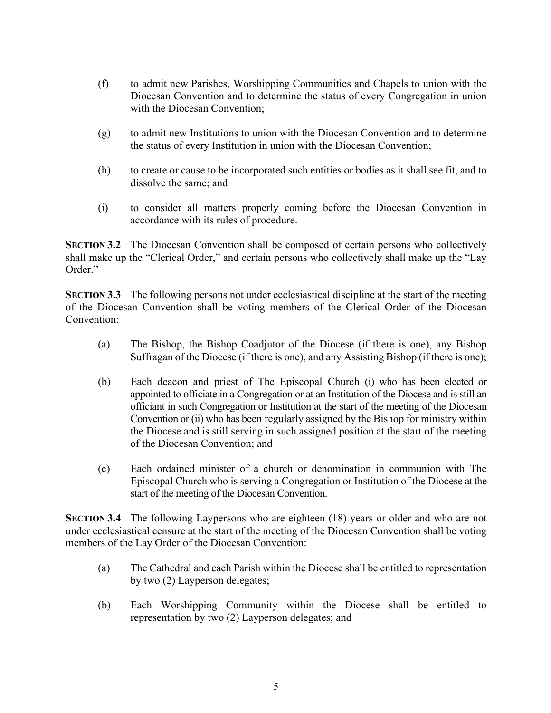- (f) to admit new Parishes, Worshipping Communities and Chapels to union with the Diocesan Convention and to determine the status of every Congregation in union with the Diocesan Convention;
- (g) to admit new Institutions to union with the Diocesan Convention and to determine the status of every Institution in union with the Diocesan Convention;
- (h) to create or cause to be incorporated such entities or bodies as it shall see fit, and to dissolve the same; and
- (i) to consider all matters properly coming before the Diocesan Convention in accordance with its rules of procedure.

**SECTION 3.2** The Diocesan Convention shall be composed of certain persons who collectively shall make up the "Clerical Order," and certain persons who collectively shall make up the "Lay Order<sup>"</sup>

**SECTION 3.3** The following persons not under ecclesiastical discipline at the start of the meeting of the Diocesan Convention shall be voting members of the Clerical Order of the Diocesan Convention:

- (a) The Bishop, the Bishop Coadjutor of the Diocese (if there is one), any Bishop Suffragan of the Diocese (if there is one), and any Assisting Bishop (if there is one);
- (b) Each deacon and priest of The Episcopal Church (i) who has been elected or appointed to officiate in a Congregation or at an Institution of the Diocese and is still an officiant in such Congregation or Institution at the start of the meeting of the Diocesan Convention or (ii) who has been regularly assigned by the Bishop for ministry within the Diocese and is still serving in such assigned position at the start of the meeting of the Diocesan Convention; and
- (c) Each ordained minister of a church or denomination in communion with The Episcopal Church who is serving a Congregation or Institution of the Diocese at the start of the meeting of the Diocesan Convention.

**SECTION 3.4** The following Laypersons who are eighteen (18) years or older and who are not under ecclesiastical censure at the start of the meeting of the Diocesan Convention shall be voting members of the Lay Order of the Diocesan Convention:

- (a) The Cathedral and each Parish within the Diocese shall be entitled to representation by two (2) Layperson delegates;
- (b) Each Worshipping Community within the Diocese shall be entitled to representation by two (2) Layperson delegates; and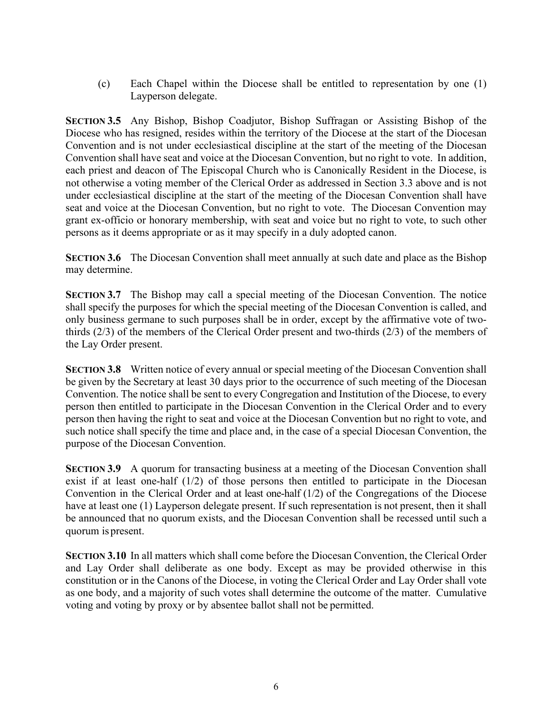(c) Each Chapel within the Diocese shall be entitled to representation by one (1) Layperson delegate.

**SECTION 3.5** Any Bishop, Bishop Coadjutor, Bishop Suffragan or Assisting Bishop of the Diocese who has resigned, resides within the territory of the Diocese at the start of the Diocesan Convention and is not under ecclesiastical discipline at the start of the meeting of the Diocesan Convention shall have seat and voice at the Diocesan Convention, but no right to vote. In addition, each priest and deacon of The Episcopal Church who is Canonically Resident in the Diocese, is not otherwise a voting member of the Clerical Order as addressed in Section 3.3 above and is not under ecclesiastical discipline at the start of the meeting of the Diocesan Convention shall have seat and voice at the Diocesan Convention, but no right to vote. The Diocesan Convention may grant ex-officio or honorary membership, with seat and voice but no right to vote, to such other persons as it deems appropriate or as it may specify in a duly adopted canon.

**SECTION 3.6** The Diocesan Convention shall meet annually at such date and place as the Bishop may determine.

**SECTION 3.7** The Bishop may call a special meeting of the Diocesan Convention. The notice shall specify the purposes for which the special meeting of the Diocesan Convention is called, and only business germane to such purposes shall be in order, except by the affirmative vote of twothirds (2/3) of the members of the Clerical Order present and two-thirds (2/3) of the members of the Lay Order present.

**SECTION 3.8** Written notice of every annual or special meeting of the Diocesan Convention shall be given by the Secretary at least 30 days prior to the occurrence of such meeting of the Diocesan Convention. The notice shall be sent to every Congregation and Institution of the Diocese, to every person then entitled to participate in the Diocesan Convention in the Clerical Order and to every person then having the right to seat and voice at the Diocesan Convention but no right to vote, and such notice shall specify the time and place and, in the case of a special Diocesan Convention, the purpose of the Diocesan Convention.

**SECTION 3.9** A quorum for transacting business at a meeting of the Diocesan Convention shall exist if at least one-half (1/2) of those persons then entitled to participate in the Diocesan Convention in the Clerical Order and at least one-half (1/2) of the Congregations of the Diocese have at least one (1) Layperson delegate present. If such representation is not present, then it shall be announced that no quorum exists, and the Diocesan Convention shall be recessed until such a quorum is present.

**SECTION 3.10** In all matters which shall come before the Diocesan Convention, the Clerical Order and Lay Order shall deliberate as one body. Except as may be provided otherwise in this constitution or in the Canons of the Diocese, in voting the Clerical Order and Lay Order shall vote as one body, and a majority of such votes shall determine the outcome of the matter. Cumulative voting and voting by proxy or by absentee ballot shall not be permitted.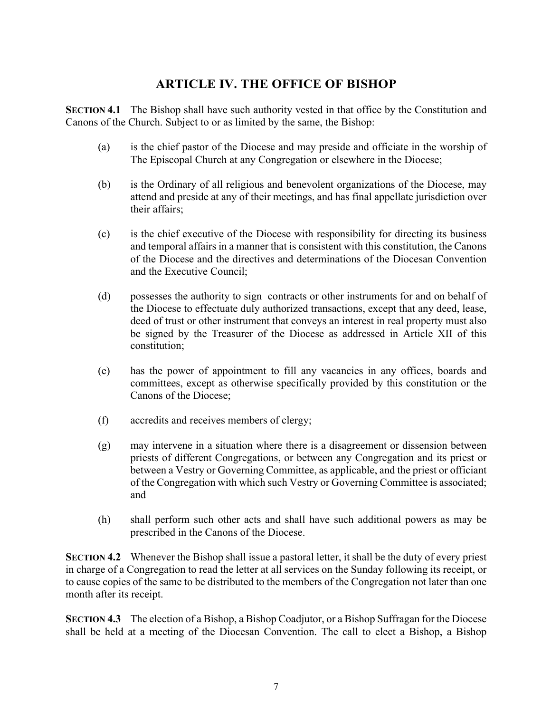## **ARTICLE IV. THE OFFICE OF BISHOP**

**SECTION 4.1** The Bishop shall have such authority vested in that office by the Constitution and Canons of the Church. Subject to or as limited by the same, the Bishop:

- (a) is the chief pastor of the Diocese and may preside and officiate in the worship of The Episcopal Church at any Congregation or elsewhere in the Diocese;
- (b) is the Ordinary of all religious and benevolent organizations of the Diocese, may attend and preside at any of their meetings, and has final appellate jurisdiction over their affairs;
- (c) is the chief executive of the Diocese with responsibility for directing its business and temporal affairs in a manner that is consistent with this constitution, the Canons of the Diocese and the directives and determinations of the Diocesan Convention and the Executive Council;
- (d) possesses the authority to sign contracts or other instruments for and on behalf of the Diocese to effectuate duly authorized transactions, except that any deed, lease, deed of trust or other instrument that conveys an interest in real property must also be signed by the Treasurer of the Diocese as addressed in Article XII of this constitution;
- (e) has the power of appointment to fill any vacancies in any offices, boards and committees, except as otherwise specifically provided by this constitution or the Canons of the Diocese;
- (f) accredits and receives members of clergy;
- (g) may intervene in a situation where there is a disagreement or dissension between priests of different Congregations, or between any Congregation and its priest or between a Vestry or Governing Committee, as applicable, and the priest or officiant of the Congregation with which such Vestry or Governing Committee is associated; and
- (h) shall perform such other acts and shall have such additional powers as may be prescribed in the Canons of the Diocese.

**SECTION 4.2** Whenever the Bishop shall issue a pastoral letter, it shall be the duty of every priest in charge of a Congregation to read the letter at all services on the Sunday following its receipt, or to cause copies of the same to be distributed to the members of the Congregation not later than one month after its receipt.

**SECTION 4.3** The election of a Bishop, a Bishop Coadjutor, or a Bishop Suffragan for the Diocese shall be held at a meeting of the Diocesan Convention. The call to elect a Bishop, a Bishop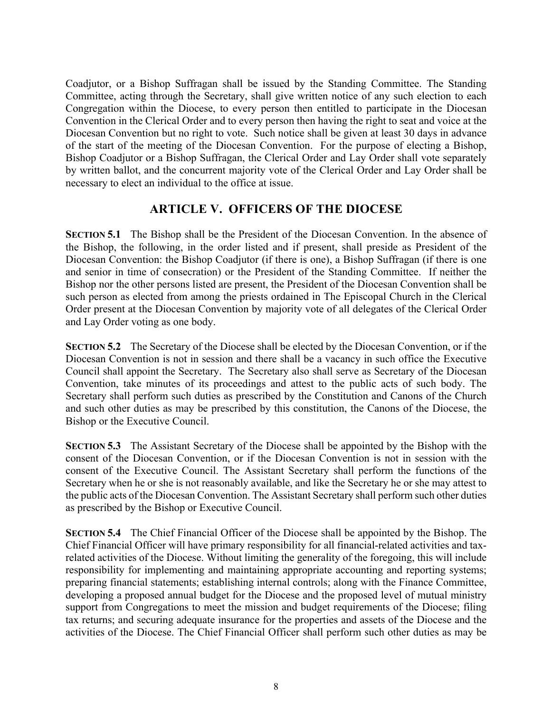Coadjutor, or a Bishop Suffragan shall be issued by the Standing Committee. The Standing Committee, acting through the Secretary, shall give written notice of any such election to each Congregation within the Diocese, to every person then entitled to participate in the Diocesan Convention in the Clerical Order and to every person then having the right to seat and voice at the Diocesan Convention but no right to vote. Such notice shall be given at least 30 days in advance of the start of the meeting of the Diocesan Convention. For the purpose of electing a Bishop, Bishop Coadjutor or a Bishop Suffragan, the Clerical Order and Lay Order shall vote separately by written ballot, and the concurrent majority vote of the Clerical Order and Lay Order shall be necessary to elect an individual to the office at issue.

### **ARTICLE V. OFFICERS OF THE DIOCESE**

**SECTION 5.1** The Bishop shall be the President of the Diocesan Convention. In the absence of the Bishop, the following, in the order listed and if present, shall preside as President of the Diocesan Convention: the Bishop Coadjutor (if there is one), a Bishop Suffragan (if there is one and senior in time of consecration) or the President of the Standing Committee. If neither the Bishop nor the other persons listed are present, the President of the Diocesan Convention shall be such person as elected from among the priests ordained in The Episcopal Church in the Clerical Order present at the Diocesan Convention by majority vote of all delegates of the Clerical Order and Lay Order voting as one body.

**SECTION 5.2** The Secretary of the Diocese shall be elected by the Diocesan Convention, or if the Diocesan Convention is not in session and there shall be a vacancy in such office the Executive Council shall appoint the Secretary. The Secretary also shall serve as Secretary of the Diocesan Convention, take minutes of its proceedings and attest to the public acts of such body. The Secretary shall perform such duties as prescribed by the Constitution and Canons of the Church and such other duties as may be prescribed by this constitution, the Canons of the Diocese, the Bishop or the Executive Council.

**SECTION 5.3** The Assistant Secretary of the Diocese shall be appointed by the Bishop with the consent of the Diocesan Convention, or if the Diocesan Convention is not in session with the consent of the Executive Council. The Assistant Secretary shall perform the functions of the Secretary when he or she is not reasonably available, and like the Secretary he or she may attest to the public acts of the Diocesan Convention. The Assistant Secretary shall perform such other duties as prescribed by the Bishop or Executive Council.

**SECTION 5.4** The Chief Financial Officer of the Diocese shall be appointed by the Bishop. The Chief Financial Officer will have primary responsibility for all financial-related activities and taxrelated activities of the Diocese. Without limiting the generality of the foregoing, this will include responsibility for implementing and maintaining appropriate accounting and reporting systems; preparing financial statements; establishing internal controls; along with the Finance Committee, developing a proposed annual budget for the Diocese and the proposed level of mutual ministry support from Congregations to meet the mission and budget requirements of the Diocese; filing tax returns; and securing adequate insurance for the properties and assets of the Diocese and the activities of the Diocese. The Chief Financial Officer shall perform such other duties as may be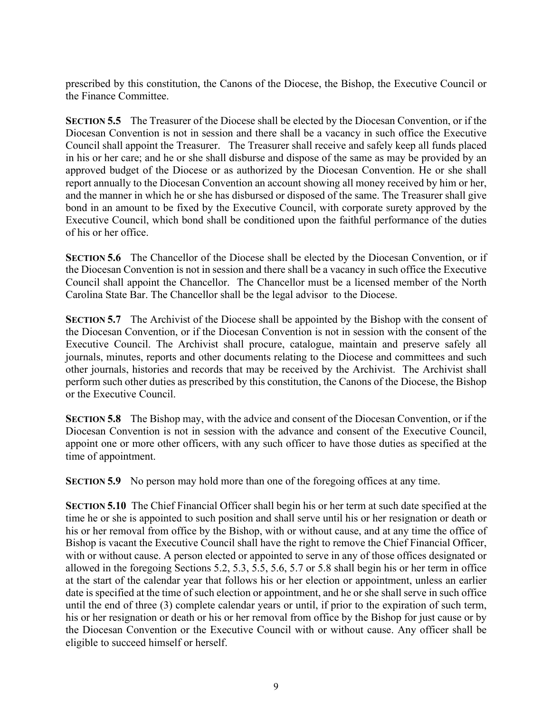prescribed by this constitution, the Canons of the Diocese, the Bishop, the Executive Council or the Finance Committee.

**SECTION 5.5** The Treasurer of the Diocese shall be elected by the Diocesan Convention, or if the Diocesan Convention is not in session and there shall be a vacancy in such office the Executive Council shall appoint the Treasurer. The Treasurer shall receive and safely keep all funds placed in his or her care; and he or she shall disburse and dispose of the same as may be provided by an approved budget of the Diocese or as authorized by the Diocesan Convention. He or she shall report annually to the Diocesan Convention an account showing all money received by him or her, and the manner in which he or she has disbursed or disposed of the same. The Treasurer shall give bond in an amount to be fixed by the Executive Council, with corporate surety approved by the Executive Council, which bond shall be conditioned upon the faithful performance of the duties of his or her office.

**SECTION 5.6** The Chancellor of the Diocese shall be elected by the Diocesan Convention, or if the Diocesan Convention is not in session and there shall be a vacancy in such office the Executive Council shall appoint the Chancellor. The Chancellor must be a licensed member of the North Carolina State Bar. The Chancellor shall be the legal advisor to the Diocese.

**SECTION 5.7** The Archivist of the Diocese shall be appointed by the Bishop with the consent of the Diocesan Convention, or if the Diocesan Convention is not in session with the consent of the Executive Council. The Archivist shall procure, catalogue, maintain and preserve safely all journals, minutes, reports and other documents relating to the Diocese and committees and such other journals, histories and records that may be received by the Archivist. The Archivist shall perform such other duties as prescribed by this constitution, the Canons of the Diocese, the Bishop or the Executive Council.

**SECTION 5.8** The Bishop may, with the advice and consent of the Diocesan Convention, or if the Diocesan Convention is not in session with the advance and consent of the Executive Council, appoint one or more other officers, with any such officer to have those duties as specified at the time of appointment.

**SECTION 5.9** No person may hold more than one of the foregoing offices at any time.

**SECTION 5.10** The Chief Financial Officer shall begin his or her term at such date specified at the time he or she is appointed to such position and shall serve until his or her resignation or death or his or her removal from office by the Bishop, with or without cause, and at any time the office of Bishop is vacant the Executive Council shall have the right to remove the Chief Financial Officer, with or without cause. A person elected or appointed to serve in any of those offices designated or allowed in the foregoing Sections 5.2, 5.3, 5.5, 5.6, 5.7 or 5.8 shall begin his or her term in office at the start of the calendar year that follows his or her election or appointment, unless an earlier date is specified at the time of such election or appointment, and he or she shall serve in such office until the end of three (3) complete calendar years or until, if prior to the expiration of such term, his or her resignation or death or his or her removal from office by the Bishop for just cause or by the Diocesan Convention or the Executive Council with or without cause. Any officer shall be eligible to succeed himself or herself.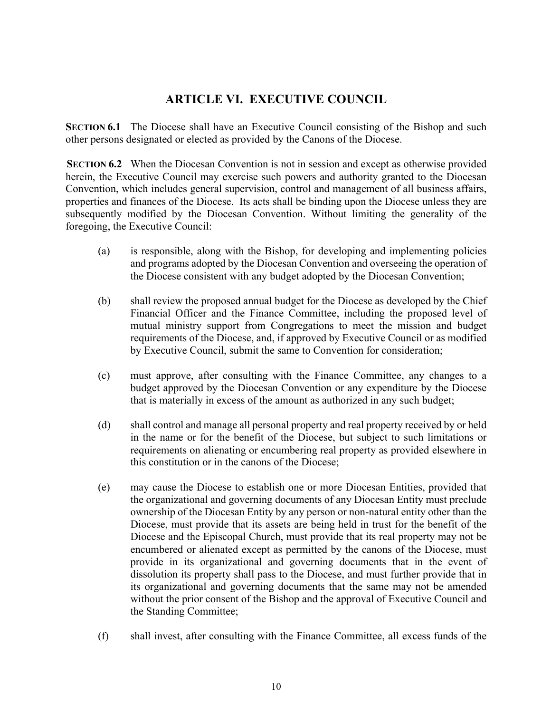### **ARTICLE VI. EXECUTIVE COUNCIL**

**SECTION 6.1** The Diocese shall have an Executive Council consisting of the Bishop and such other persons designated or elected as provided by the Canons of the Diocese.

**SECTION 6.2** When the Diocesan Convention is not in session and except as otherwise provided herein, the Executive Council may exercise such powers and authority granted to the Diocesan Convention, which includes general supervision, control and management of all business affairs, properties and finances of the Diocese. Its acts shall be binding upon the Diocese unless they are subsequently modified by the Diocesan Convention. Without limiting the generality of the foregoing, the Executive Council:

- (a) is responsible, along with the Bishop, for developing and implementing policies and programs adopted by the Diocesan Convention and overseeing the operation of the Diocese consistent with any budget adopted by the Diocesan Convention;
- (b) shall review the proposed annual budget for the Diocese as developed by the Chief Financial Officer and the Finance Committee, including the proposed level of mutual ministry support from Congregations to meet the mission and budget requirements of the Diocese, and, if approved by Executive Council or as modified by Executive Council, submit the same to Convention for consideration;
- (c) must approve, after consulting with the Finance Committee, any changes to a budget approved by the Diocesan Convention or any expenditure by the Diocese that is materially in excess of the amount as authorized in any such budget;
- (d) shall control and manage all personal property and real property received by or held in the name or for the benefit of the Diocese, but subject to such limitations or requirements on alienating or encumbering real property as provided elsewhere in this constitution or in the canons of the Diocese;
- (e) may cause the Diocese to establish one or more Diocesan Entities, provided that the organizational and governing documents of any Diocesan Entity must preclude ownership of the Diocesan Entity by any person or non-natural entity other than the Diocese, must provide that its assets are being held in trust for the benefit of the Diocese and the Episcopal Church, must provide that its real property may not be encumbered or alienated except as permitted by the canons of the Diocese, must provide in its organizational and governing documents that in the event of dissolution its property shall pass to the Diocese, and must further provide that in its organizational and governing documents that the same may not be amended without the prior consent of the Bishop and the approval of Executive Council and the Standing Committee;
- (f) shall invest, after consulting with the Finance Committee, all excess funds of the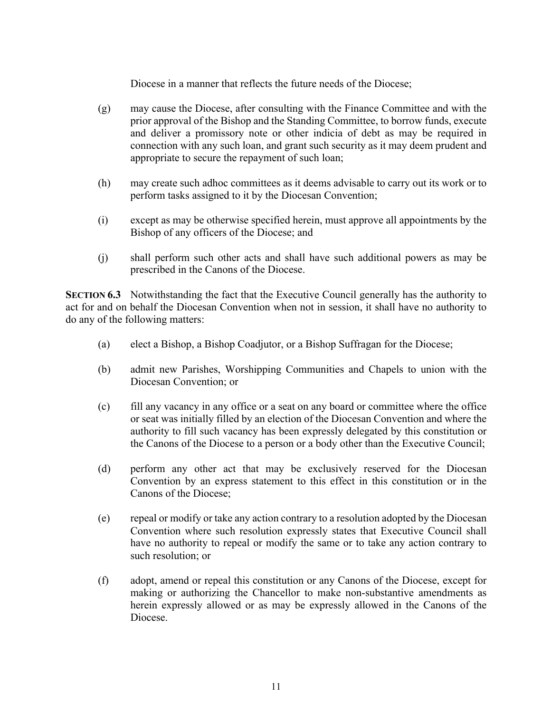Diocese in a manner that reflects the future needs of the Diocese;

- (g) may cause the Diocese, after consulting with the Finance Committee and with the prior approval of the Bishop and the Standing Committee, to borrow funds, execute and deliver a promissory note or other indicia of debt as may be required in connection with any such loan, and grant such security as it may deem prudent and appropriate to secure the repayment of such loan;
- (h) may create such adhoc committees as it deems advisable to carry out its work or to perform tasks assigned to it by the Diocesan Convention;
- (i) except as may be otherwise specified herein, must approve all appointments by the Bishop of any officers of the Diocese; and
- (j) shall perform such other acts and shall have such additional powers as may be prescribed in the Canons of the Diocese.

**SECTION 6.3** Notwithstanding the fact that the Executive Council generally has the authority to act for and on behalf the Diocesan Convention when not in session, it shall have no authority to do any of the following matters:

- (a) elect a Bishop, a Bishop Coadjutor, or a Bishop Suffragan for the Diocese;
- (b) admit new Parishes, Worshipping Communities and Chapels to union with the Diocesan Convention; or
- (c) fill any vacancy in any office or a seat on any board or committee where the office or seat was initially filled by an election of the Diocesan Convention and where the authority to fill such vacancy has been expressly delegated by this constitution or the Canons of the Diocese to a person or a body other than the Executive Council;
- (d) perform any other act that may be exclusively reserved for the Diocesan Convention by an express statement to this effect in this constitution or in the Canons of the Diocese;
- (e) repeal or modify or take any action contrary to a resolution adopted by the Diocesan Convention where such resolution expressly states that Executive Council shall have no authority to repeal or modify the same or to take any action contrary to such resolution; or
- (f) adopt, amend or repeal this constitution or any Canons of the Diocese, except for making or authorizing the Chancellor to make non-substantive amendments as herein expressly allowed or as may be expressly allowed in the Canons of the Diocese.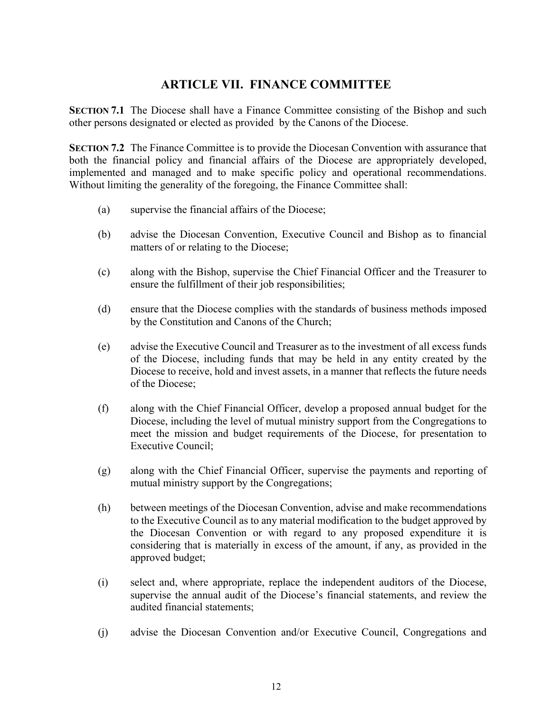## **ARTICLE VII. FINANCE COMMITTEE**

**SECTION 7.1** The Diocese shall have a Finance Committee consisting of the Bishop and such other persons designated or elected as provided by the Canons of the Diocese.

**SECTION 7.2** The Finance Committee is to provide the Diocesan Convention with assurance that both the financial policy and financial affairs of the Diocese are appropriately developed, implemented and managed and to make specific policy and operational recommendations. Without limiting the generality of the foregoing, the Finance Committee shall:

- (a) supervise the financial affairs of the Diocese;
- (b) advise the Diocesan Convention, Executive Council and Bishop as to financial matters of or relating to the Diocese;
- (c) along with the Bishop, supervise the Chief Financial Officer and the Treasurer to ensure the fulfillment of their job responsibilities;
- (d) ensure that the Diocese complies with the standards of business methods imposed by the Constitution and Canons of the Church;
- (e) advise the Executive Council and Treasurer as to the investment of all excess funds of the Diocese, including funds that may be held in any entity created by the Diocese to receive, hold and invest assets, in a manner that reflects the future needs of the Diocese;
- (f) along with the Chief Financial Officer, develop a proposed annual budget for the Diocese, including the level of mutual ministry support from the Congregations to meet the mission and budget requirements of the Diocese, for presentation to Executive Council;
- (g) along with the Chief Financial Officer, supervise the payments and reporting of mutual ministry support by the Congregations;
- (h) between meetings of the Diocesan Convention, advise and make recommendations to the Executive Council as to any material modification to the budget approved by the Diocesan Convention or with regard to any proposed expenditure it is considering that is materially in excess of the amount, if any, as provided in the approved budget;
- (i) select and, where appropriate, replace the independent auditors of the Diocese, supervise the annual audit of the Diocese's financial statements, and review the audited financial statements;
- (j) advise the Diocesan Convention and/or Executive Council, Congregations and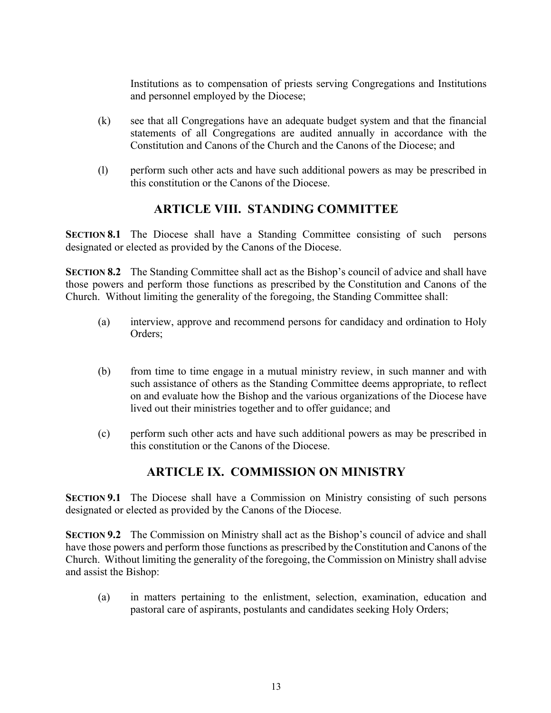Institutions as to compensation of priests serving Congregations and Institutions and personnel employed by the Diocese;

- (k) see that all Congregations have an adequate budget system and that the financial statements of all Congregations are audited annually in accordance with the Constitution and Canons of the Church and the Canons of the Diocese; and
- (l) perform such other acts and have such additional powers as may be prescribed in this constitution or the Canons of the Diocese.

## **ARTICLE VIII. STANDING COMMITTEE**

**SECTION 8.1** The Diocese shall have a Standing Committee consisting of such persons designated or elected as provided by the Canons of the Diocese.

**SECTION 8.2** The Standing Committee shall act as the Bishop's council of advice and shall have those powers and perform those functions as prescribed by the Constitution and Canons of the Church. Without limiting the generality of the foregoing, the Standing Committee shall:

- (a) interview, approve and recommend persons for candidacy and ordination to Holy Orders;
- (b) from time to time engage in a mutual ministry review, in such manner and with such assistance of others as the Standing Committee deems appropriate, to reflect on and evaluate how the Bishop and the various organizations of the Diocese have lived out their ministries together and to offer guidance; and
- (c) perform such other acts and have such additional powers as may be prescribed in this constitution or the Canons of the Diocese.

## **ARTICLE IX. COMMISSION ON MINISTRY**

**SECTION 9.1** The Diocese shall have a Commission on Ministry consisting of such persons designated or elected as provided by the Canons of the Diocese.

**SECTION 9.2** The Commission on Ministry shall act as the Bishop's council of advice and shall have those powers and perform those functions as prescribed by the Constitution and Canons of the Church. Without limiting the generality of the foregoing, the Commission on Ministry shall advise and assist the Bishop:

(a) in matters pertaining to the enlistment, selection, examination, education and pastoral care of aspirants, postulants and candidates seeking Holy Orders;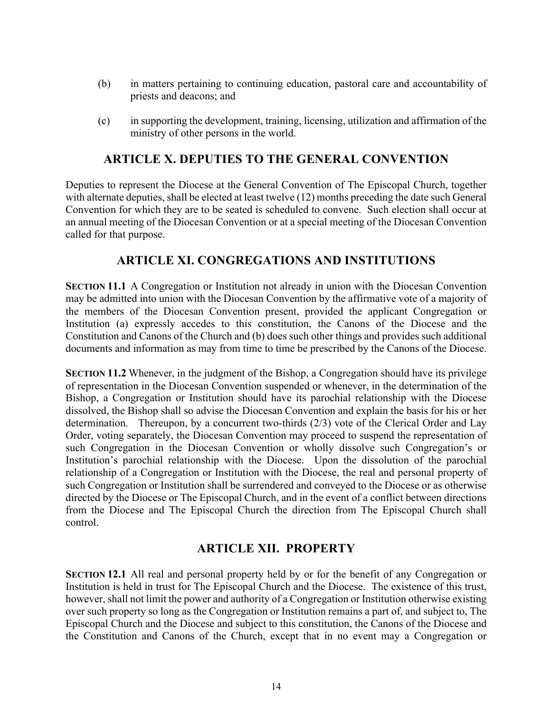- (b) in matters pertaining to continuing education, pastoral care and accountability of priests and deacons; and
- (c) in supporting the development, training, licensing, utilization and affirmation of the ministry of other persons in the world.

### **ARTICLE X. DEPUTIES TO THE GENERAL CONVENTION**

Deputies to represent the Diocese at the General Convention of The Episcopal Church, together with alternate deputies, shall be elected at least twelve (12) months preceding the date such General Convention for which they are to be seated is scheduled to convene. Such election shall occur at an annual meeting of the Diocesan Convention or at a special meeting of the Diocesan Convention called for that purpose.

### **ARTICLE XI. CONGREGATIONS AND INSTITUTIONS**

**SECTION 11.1** A Congregation or Institution not already in union with the Diocesan Convention may be admitted into union with the Diocesan Convention by the affirmative vote of a majority of the members of the Diocesan Convention present, provided the applicant Congregation or Institution (a) expressly accedes to this constitution, the Canons of the Diocese and the Constitution and Canons of the Church and (b) does such other things and provides such additional documents and information as may from time to time be prescribed by the Canons of the Diocese.

**SECTION 11.2** Whenever, in the judgment of the Bishop, a Congregation should have its privilege of representation in the Diocesan Convention suspended or whenever, in the determination of the Bishop, a Congregation or Institution should have its parochial relationship with the Diocese dissolved, the Bishop shall so advise the Diocesan Convention and explain the basis for his or her determination. Thereupon, by a concurrent two-thirds (2/3) vote of the Clerical Order and Lay Order, voting separately, the Diocesan Convention may proceed to suspend the representation of such Congregation in the Diocesan Convention or wholly dissolve such Congregation's or Institution's parochial relationship with the Diocese. Upon the dissolution of the parochial relationship of a Congregation or Institution with the Diocese, the real and personal property of such Congregation or Institution shall be surrendered and conveyed to the Diocese or as otherwise directed by the Diocese or The Episcopal Church, and in the event of a conflict between directions from the Diocese and The Episcopal Church the direction from The Episcopal Church shall control.

## **ARTICLE XII. PROPERTY**

**SECTION 12.1** All real and personal property held by or for the benefit of any Congregation or Institution is held in trust for The Episcopal Church and the Diocese. The existence of this trust, however, shall not limit the power and authority of a Congregation or Institution otherwise existing over such property so long as the Congregation or Institution remains a part of, and subject to, The Episcopal Church and the Diocese and subject to this constitution, the Canons of the Diocese and the Constitution and Canons of the Church, except that in no event may a Congregation or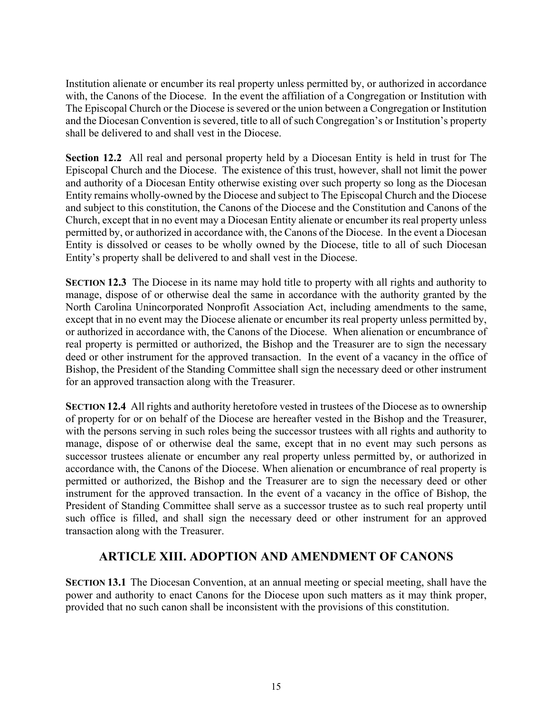Institution alienate or encumber its real property unless permitted by, or authorized in accordance with, the Canons of the Diocese. In the event the affiliation of a Congregation or Institution with The Episcopal Church or the Diocese is severed or the union between a Congregation or Institution and the Diocesan Convention is severed, title to all of such Congregation's or Institution's property shall be delivered to and shall vest in the Diocese.

**Section 12.2** All real and personal property held by a Diocesan Entity is held in trust for The Episcopal Church and the Diocese. The existence of this trust, however, shall not limit the power and authority of a Diocesan Entity otherwise existing over such property so long as the Diocesan Entity remains wholly-owned by the Diocese and subject to The Episcopal Church and the Diocese and subject to this constitution, the Canons of the Diocese and the Constitution and Canons of the Church, except that in no event may a Diocesan Entity alienate or encumber its real property unless permitted by, or authorized in accordance with, the Canons of the Diocese. In the event a Diocesan Entity is dissolved or ceases to be wholly owned by the Diocese, title to all of such Diocesan Entity's property shall be delivered to and shall vest in the Diocese.

**SECTION 12.3** The Diocese in its name may hold title to property with all rights and authority to manage, dispose of or otherwise deal the same in accordance with the authority granted by the North Carolina Unincorporated Nonprofit Association Act, including amendments to the same, except that in no event may the Diocese alienate or encumber its real property unless permitted by, or authorized in accordance with, the Canons of the Diocese. When alienation or encumbrance of real property is permitted or authorized, the Bishop and the Treasurer are to sign the necessary deed or other instrument for the approved transaction. In the event of a vacancy in the office of Bishop, the President of the Standing Committee shall sign the necessary deed or other instrument for an approved transaction along with the Treasurer.

**SECTION 12.4** All rights and authority heretofore vested in trustees of the Diocese as to ownership of property for or on behalf of the Diocese are hereafter vested in the Bishop and the Treasurer, with the persons serving in such roles being the successor trustees with all rights and authority to manage, dispose of or otherwise deal the same, except that in no event may such persons as successor trustees alienate or encumber any real property unless permitted by, or authorized in accordance with, the Canons of the Diocese. When alienation or encumbrance of real property is permitted or authorized, the Bishop and the Treasurer are to sign the necessary deed or other instrument for the approved transaction. In the event of a vacancy in the office of Bishop, the President of Standing Committee shall serve as a successor trustee as to such real property until such office is filled, and shall sign the necessary deed or other instrument for an approved transaction along with the Treasurer.

## **ARTICLE XIII. ADOPTION AND AMENDMENT OF CANONS**

**SECTION 13.1** The Diocesan Convention, at an annual meeting or special meeting, shall have the power and authority to enact Canons for the Diocese upon such matters as it may think proper, provided that no such canon shall be inconsistent with the provisions of this constitution.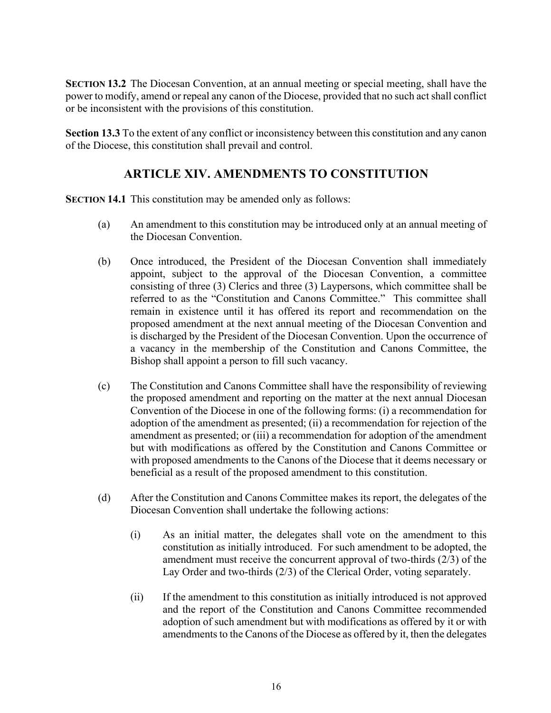**SECTION 13.2** The Diocesan Convention, at an annual meeting or special meeting, shall have the power to modify, amend or repeal any canon of the Diocese, provided that no such act shall conflict or be inconsistent with the provisions of this constitution.

**Section 13.3** To the extent of any conflict or inconsistency between this constitution and any canon of the Diocese, this constitution shall prevail and control.

## **ARTICLE XIV. AMENDMENTS TO CONSTITUTION**

**SECTION 14.1** This constitution may be amended only as follows:

- (a) An amendment to this constitution may be introduced only at an annual meeting of the Diocesan Convention.
- (b) Once introduced, the President of the Diocesan Convention shall immediately appoint, subject to the approval of the Diocesan Convention, a committee consisting of three (3) Clerics and three (3) Laypersons, which committee shall be referred to as the "Constitution and Canons Committee." This committee shall remain in existence until it has offered its report and recommendation on the proposed amendment at the next annual meeting of the Diocesan Convention and is discharged by the President of the Diocesan Convention. Upon the occurrence of a vacancy in the membership of the Constitution and Canons Committee, the Bishop shall appoint a person to fill such vacancy.
- (c) The Constitution and Canons Committee shall have the responsibility of reviewing the proposed amendment and reporting on the matter at the next annual Diocesan Convention of the Diocese in one of the following forms: (i) a recommendation for adoption of the amendment as presented; (ii) a recommendation for rejection of the amendment as presented; or (iii) a recommendation for adoption of the amendment but with modifications as offered by the Constitution and Canons Committee or with proposed amendments to the Canons of the Diocese that it deems necessary or beneficial as a result of the proposed amendment to this constitution.
- (d) After the Constitution and Canons Committee makes its report, the delegates of the Diocesan Convention shall undertake the following actions:
	- (i) As an initial matter, the delegates shall vote on the amendment to this constitution as initially introduced. For such amendment to be adopted, the amendment must receive the concurrent approval of two-thirds (2/3) of the Lay Order and two-thirds (2/3) of the Clerical Order, voting separately.
	- (ii) If the amendment to this constitution as initially introduced is not approved and the report of the Constitution and Canons Committee recommended adoption of such amendment but with modifications as offered by it or with amendments to the Canons of the Diocese as offered by it, then the delegates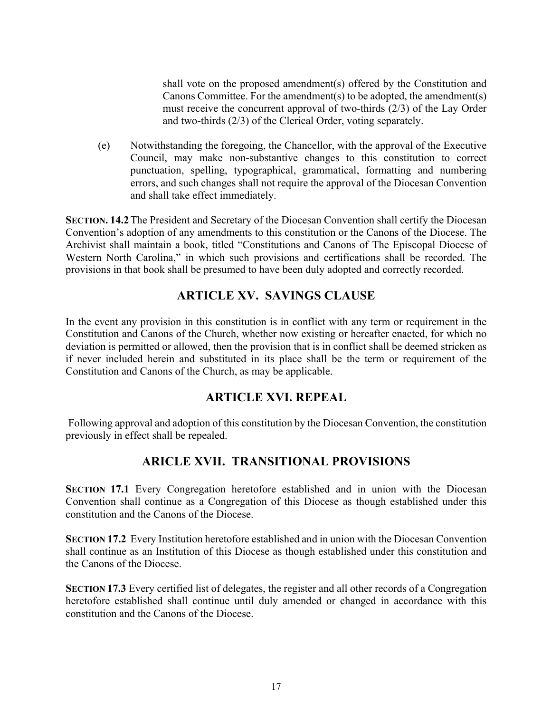shall vote on the proposed amendment(s) offered by the Constitution and Canons Committee. For the amendment(s) to be adopted, the amendment(s) must receive the concurrent approval of two-thirds (2/3) of the Lay Order and two-thirds (2/3) of the Clerical Order, voting separately.

(e) Notwithstanding the foregoing, the Chancellor, with the approval of the Executive Council, may make non-substantive changes to this constitution to correct punctuation, spelling, typographical, grammatical, formatting and numbering errors, and such changes shall not require the approval of the Diocesan Convention and shall take effect immediately.

**SECTION. 14.2**The President and Secretary of the Diocesan Convention shall certify the Diocesan Convention's adoption of any amendments to this constitution or the Canons of the Diocese. The Archivist shall maintain a book, titled "Constitutions and Canons of The Episcopal Diocese of Western North Carolina," in which such provisions and certifications shall be recorded. The provisions in that book shall be presumed to have been duly adopted and correctly recorded.

## **ARTICLE XV. SAVINGS CLAUSE**

In the event any provision in this constitution is in conflict with any term or requirement in the Constitution and Canons of the Church, whether now existing or hereafter enacted, for which no deviation is permitted or allowed, then the provision that is in conflict shall be deemed stricken as if never included herein and substituted in its place shall be the term or requirement of the Constitution and Canons of the Church, as may be applicable.

## **ARTICLE XVI. REPEAL**

Following approval and adoption of this constitution by the Diocesan Convention, the constitution previously in effect shall be repealed.

## **ARICLE XVII. TRANSITIONAL PROVISIONS**

**SECTION 17.1** Every Congregation heretofore established and in union with the Diocesan Convention shall continue as a Congregation of this Diocese as though established under this constitution and the Canons of the Diocese.

**SECTION 17.2** Every Institution heretofore established and in union with the Diocesan Convention shall continue as an Institution of this Diocese as though established under this constitution and the Canons of the Diocese.

**SECTION 17.3** Every certified list of delegates, the register and all other records of a Congregation heretofore established shall continue until duly amended or changed in accordance with this constitution and the Canons of the Diocese.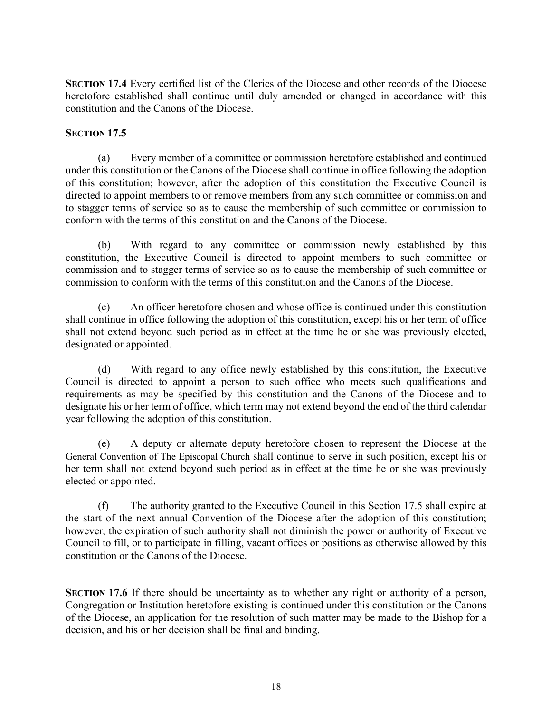**SECTION 17.4** Every certified list of the Clerics of the Diocese and other records of the Diocese heretofore established shall continue until duly amended or changed in accordance with this constitution and the Canons of the Diocese.

#### **SECTION 17.5**

(a) Every member of a committee or commission heretofore established and continued under this constitution or the Canons of the Diocese shall continue in office following the adoption of this constitution; however, after the adoption of this constitution the Executive Council is directed to appoint members to or remove members from any such committee or commission and to stagger terms of service so as to cause the membership of such committee or commission to conform with the terms of this constitution and the Canons of the Diocese.

(b) With regard to any committee or commission newly established by this constitution, the Executive Council is directed to appoint members to such committee or commission and to stagger terms of service so as to cause the membership of such committee or commission to conform with the terms of this constitution and the Canons of the Diocese.

(c) An officer heretofore chosen and whose office is continued under this constitution shall continue in office following the adoption of this constitution, except his or her term of office shall not extend beyond such period as in effect at the time he or she was previously elected, designated or appointed.

(d) With regard to any office newly established by this constitution, the Executive Council is directed to appoint a person to such office who meets such qualifications and requirements as may be specified by this constitution and the Canons of the Diocese and to designate his or her term of office, which term may not extend beyond the end of the third calendar year following the adoption of this constitution.

(e) A deputy or alternate deputy heretofore chosen to represent the Diocese at the General Convention of The Episcopal Church shall continue to serve in such position, except his or her term shall not extend beyond such period as in effect at the time he or she was previously elected or appointed.

(f) The authority granted to the Executive Council in this Section 17.5 shall expire at the start of the next annual Convention of the Diocese after the adoption of this constitution; however, the expiration of such authority shall not diminish the power or authority of Executive Council to fill, or to participate in filling, vacant offices or positions as otherwise allowed by this constitution or the Canons of the Diocese.

**SECTION 17.6** If there should be uncertainty as to whether any right or authority of a person, Congregation or Institution heretofore existing is continued under this constitution or the Canons of the Diocese, an application for the resolution of such matter may be made to the Bishop for a decision, and his or her decision shall be final and binding.